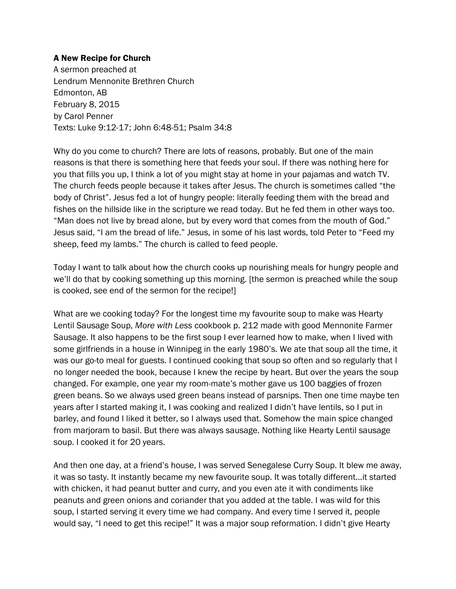## A New Recipe for Church

A sermon preached at Lendrum Mennonite Brethren Church Edmonton, AB February 8, 2015 by Carol Penner Texts: Luke 9:12-17; John 6:48-51; Psalm 34:8

Why do you come to church? There are lots of reasons, probably. But one of the main reasons is that there is something here that feeds your soul. If there was nothing here for you that fills you up, I think a lot of you might stay at home in your pajamas and watch TV. The church feeds people because it takes after Jesus. The church is sometimes called "the body of Christ". Jesus fed a lot of hungry people: literally feeding them with the bread and fishes on the hillside like in the scripture we read today. But he fed them in other ways too. "Man does not live by bread alone, but by every word that comes from the mouth of God." Jesus said, "I am the bread of life." Jesus, in some of his last words, told Peter to "Feed my sheep, feed my lambs." The church is called to feed people.

Today I want to talk about how the church cooks up nourishing meals for hungry people and we'll do that by cooking something up this morning. [the sermon is preached while the soup is cooked, see end of the sermon for the recipe!]

What are we cooking today? For the longest time my favourite soup to make was Hearty Lentil Sausage Soup, *More with Less* cookbook p. 212 made with good Mennonite Farmer Sausage. It also happens to be the first soup I ever learned how to make, when I lived with some girlfriends in a house in Winnipeg in the early 1980's. We ate that soup all the time, it was our go-to meal for guests. I continued cooking that soup so often and so regularly that I no longer needed the book, because I knew the recipe by heart. But over the years the soup changed. For example, one year my room-mate's mother gave us 100 baggies of frozen green beans. So we always used green beans instead of parsnips. Then one time maybe ten years after I started making it, I was cooking and realized I didn't have lentils, so I put in barley, and found I liked it better, so I always used that. Somehow the main spice changed from marjoram to basil. But there was always sausage. Nothing like Hearty Lentil sausage soup. I cooked it for 20 years.

And then one day, at a friend's house, I was served Senegalese Curry Soup. It blew me away, it was so tasty. It instantly became my new favourite soup. It was totally different…it started with chicken, it had peanut butter and curry, and you even ate it with condiments like peanuts and green onions and coriander that you added at the table. I was wild for this soup, I started serving it every time we had company. And every time I served it, people would say, "I need to get this recipe!" It was a major soup reformation. I didn't give Hearty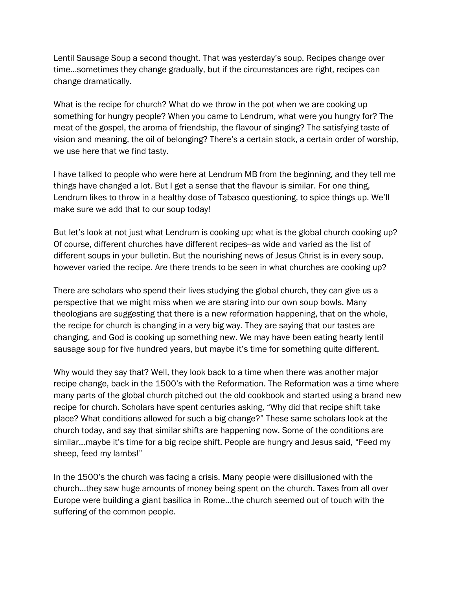Lentil Sausage Soup a second thought. That was yesterday's soup. Recipes change over time…sometimes they change gradually, but if the circumstances are right, recipes can change dramatically.

What is the recipe for church? What do we throw in the pot when we are cooking up something for hungry people? When you came to Lendrum, what were you hungry for? The meat of the gospel, the aroma of friendship, the flavour of singing? The satisfying taste of vision and meaning, the oil of belonging? There's a certain stock, a certain order of worship, we use here that we find tasty.

I have talked to people who were here at Lendrum MB from the beginning, and they tell me things have changed a lot. But I get a sense that the flavour is similar. For one thing, Lendrum likes to throw in a healthy dose of Tabasco questioning, to spice things up. We'll make sure we add that to our soup today!

But let's look at not just what Lendrum is cooking up; what is the global church cooking up? Of course, different churches have different recipes--as wide and varied as the list of different soups in your bulletin. But the nourishing news of Jesus Christ is in every soup, however varied the recipe. Are there trends to be seen in what churches are cooking up?

There are scholars who spend their lives studying the global church, they can give us a perspective that we might miss when we are staring into our own soup bowls. Many theologians are suggesting that there is a new reformation happening, that on the whole, the recipe for church is changing in a very big way. They are saying that our tastes are changing, and God is cooking up something new. We may have been eating hearty lentil sausage soup for five hundred years, but maybe it's time for something quite different.

Why would they say that? Well, they look back to a time when there was another major recipe change, back in the 1500's with the Reformation. The Reformation was a time where many parts of the global church pitched out the old cookbook and started using a brand new recipe for church. Scholars have spent centuries asking, "Why did that recipe shift take place? What conditions allowed for such a big change?" These same scholars look at the church today, and say that similar shifts are happening now. Some of the conditions are similar…maybe it's time for a big recipe shift. People are hungry and Jesus said, "Feed my sheep, feed my lambs!"

In the 1500's the church was facing a crisis. Many people were disillusioned with the church…they saw huge amounts of money being spent on the church. Taxes from all over Europe were building a giant basilica in Rome…the church seemed out of touch with the suffering of the common people.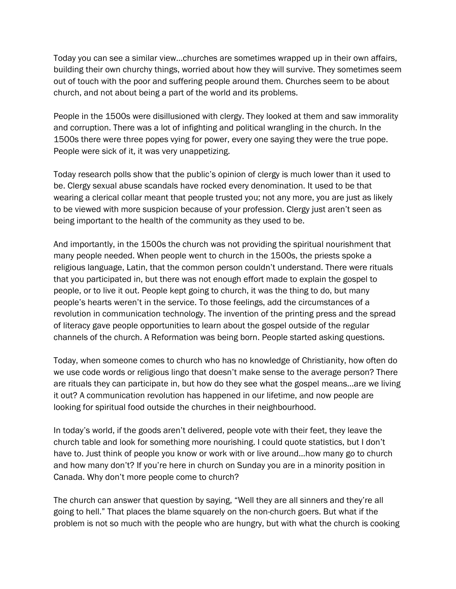Today you can see a similar view…churches are sometimes wrapped up in their own affairs, building their own churchy things, worried about how they will survive. They sometimes seem out of touch with the poor and suffering people around them. Churches seem to be about church, and not about being a part of the world and its problems.

People in the 1500s were disillusioned with clergy. They looked at them and saw immorality and corruption. There was a lot of infighting and political wrangling in the church. In the 1500s there were three popes vying for power, every one saying they were the true pope. People were sick of it, it was very unappetizing.

Today research polls show that the public's opinion of clergy is much lower than it used to be. Clergy sexual abuse scandals have rocked every denomination. It used to be that wearing a clerical collar meant that people trusted you; not any more, you are just as likely to be viewed with more suspicion because of your profession. Clergy just aren't seen as being important to the health of the community as they used to be.

And importantly, in the 1500s the church was not providing the spiritual nourishment that many people needed. When people went to church in the 1500s, the priests spoke a religious language, Latin, that the common person couldn't understand. There were rituals that you participated in, but there was not enough effort made to explain the gospel to people, or to live it out. People kept going to church, it was the thing to do, but many people's hearts weren't in the service. To those feelings, add the circumstances of a revolution in communication technology. The invention of the printing press and the spread of literacy gave people opportunities to learn about the gospel outside of the regular channels of the church. A Reformation was being born. People started asking questions.

Today, when someone comes to church who has no knowledge of Christianity, how often do we use code words or religious lingo that doesn't make sense to the average person? There are rituals they can participate in, but how do they see what the gospel means…are we living it out? A communication revolution has happened in our lifetime, and now people are looking for spiritual food outside the churches in their neighbourhood.

In today's world, if the goods aren't delivered, people vote with their feet, they leave the church table and look for something more nourishing. I could quote statistics, but I don't have to. Just think of people you know or work with or live around…how many go to church and how many don't? If you're here in church on Sunday you are in a minority position in Canada. Why don't more people come to church?

The church can answer that question by saying, "Well they are all sinners and they're all going to hell." That places the blame squarely on the non-church goers. But what if the problem is not so much with the people who are hungry, but with what the church is cooking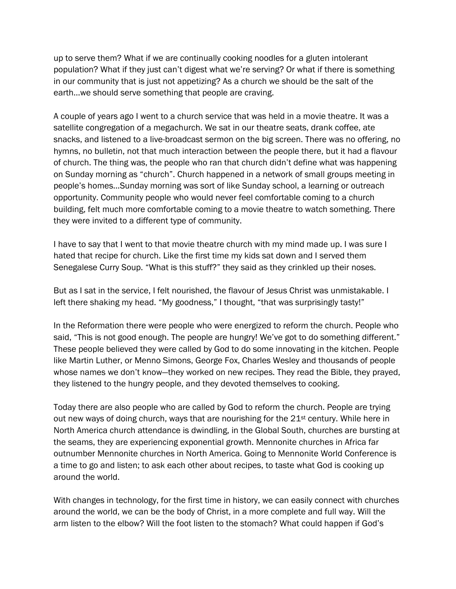up to serve them? What if we are continually cooking noodles for a gluten intolerant population? What if they just can't digest what we're serving? Or what if there is something in our community that is just not appetizing? As a church we should be the salt of the earth…we should serve something that people are craving.

A couple of years ago I went to a church service that was held in a movie theatre. It was a satellite congregation of a megachurch. We sat in our theatre seats, drank coffee, ate snacks, and listened to a live-broadcast sermon on the big screen. There was no offering, no hymns, no bulletin, not that much interaction between the people there, but it had a flavour of church. The thing was, the people who ran that church didn't define what was happening on Sunday morning as "church". Church happened in a network of small groups meeting in people's homes…Sunday morning was sort of like Sunday school, a learning or outreach opportunity. Community people who would never feel comfortable coming to a church building, felt much more comfortable coming to a movie theatre to watch something. There they were invited to a different type of community.

I have to say that I went to that movie theatre church with my mind made up. I was sure I hated that recipe for church. Like the first time my kids sat down and I served them Senegalese Curry Soup. "What is this stuff?" they said as they crinkled up their noses.

But as I sat in the service, I felt nourished, the flavour of Jesus Christ was unmistakable. I left there shaking my head. "My goodness," I thought, "that was surprisingly tasty!"

In the Reformation there were people who were energized to reform the church. People who said, "This is not good enough. The people are hungry! We've got to do something different." These people believed they were called by God to do some innovating in the kitchen. People like Martin Luther, or Menno Simons, George Fox, Charles Wesley and thousands of people whose names we don't know—they worked on new recipes. They read the Bible, they prayed, they listened to the hungry people, and they devoted themselves to cooking.

Today there are also people who are called by God to reform the church. People are trying out new ways of doing church, ways that are nourishing for the  $21<sup>st</sup>$  century. While here in North America church attendance is dwindling, in the Global South, churches are bursting at the seams, they are experiencing exponential growth. Mennonite churches in Africa far outnumber Mennonite churches in North America. Going to Mennonite World Conference is a time to go and listen; to ask each other about recipes, to taste what God is cooking up around the world.

With changes in technology, for the first time in history, we can easily connect with churches around the world, we can be the body of Christ, in a more complete and full way. Will the arm listen to the elbow? Will the foot listen to the stomach? What could happen if God's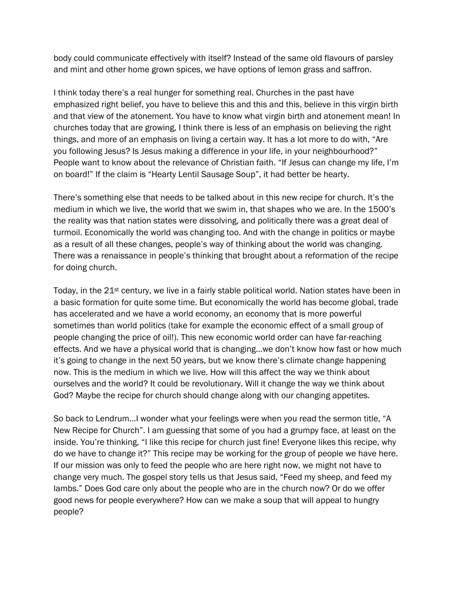body could communicate effectively with itself? Instead of the same old flavours of parsley and mint and other home grown spices, we have options of lemon grass and saffron.

I think today there's a real hunger for something real. Churches in the past have emphasized right belief, you have to believe this and this and this, believe in this virgin birth and that view of the atonement. You have to know what virgin birth and atonement mean! In churches today that are growing, I think there is less of an emphasis on believing the right things, and more of an emphasis on living a certain way. It has a lot more to do with, "Are you following Jesus? Is Jesus making a difference in your life, in your neighbourhood?" People want to know about the relevance of Christian faith. "If Jesus can change my life, I'm on board!" If the claim is "Hearty Lentil Sausage Soup", it had better be hearty.

There's something else that needs to be talked about in this new recipe for church. It's the medium in which we live, the world that we swim in, that shapes who we are. In the 1500's the reality was that nation states were dissolving, and politically there was a great deal of turmoil. Economically the world was changing too. And with the change in politics or maybe as a result of all these changes, people's way of thinking about the world was changing. There was a renaissance in people's thinking that brought about a reformation of the recipe for doing church.

Today, in the 21<sup>st</sup> century, we live in a fairly stable political world. Nation states have been in a basic formation for quite some time. But economically the world has become global, trade has accelerated and we have a world economy, an economy that is more powerful sometimes than world politics (take for example the economic effect of a small group of people changing the price of oil!). This new economic world order can have far-reaching effects. And we have a physical world that is changing…we don't know how fast or how much it's going to change in the next 50 years, but we know there's climate change happening now. This is the medium in which we live. How will this affect the way we think about ourselves and the world? It could be revolutionary. Will it change the way we think about God? Maybe the recipe for church should change along with our changing appetites.

So back to Lendrum…I wonder what your feelings were when you read the sermon title, "A New Recipe for Church". I am guessing that some of you had a grumpy face, at least on the inside. You're thinking, "I like this recipe for church just fine! Everyone likes this recipe, why do we have to change it?" This recipe may be working for the group of people we have here. If our mission was only to feed the people who are here right now, we might not have to change very much. The gospel story tells us that Jesus said, "Feed my sheep, and feed my lambs." Does God care only about the people who are in the church now? Or do we offer good news for people everywhere? How can we make a soup that will appeal to hungry people?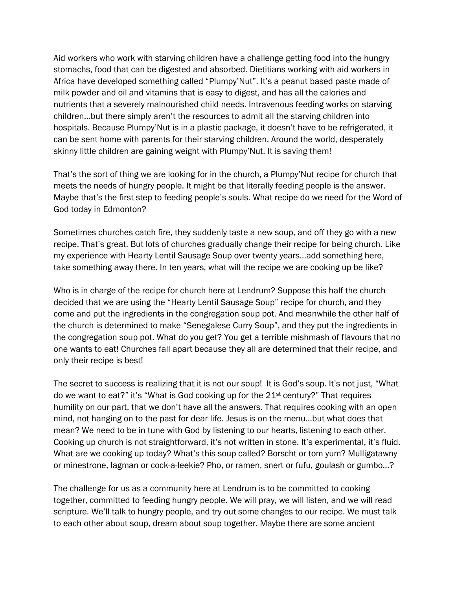Aid workers who work with starving children have a challenge getting food into the hungry stomachs, food that can be digested and absorbed. Dietitians working with aid workers in Africa have developed something called "Plumpy'Nut". It's a peanut based paste made of milk powder and oil and vitamins that is easy to digest, and has all the calories and nutrients that a severely malnourished child needs. Intravenous feeding works on starving children…but there simply aren't the resources to admit all the starving children into hospitals. Because Plumpy'Nut is in a plastic package, it doesn't have to be refrigerated, it can be sent home with parents for their starving children. Around the world, desperately skinny little children are gaining weight with Plumpy'Nut. It is saving them!

That's the sort of thing we are looking for in the church, a Plumpy'Nut recipe for church that meets the needs of hungry people. It might be that literally feeding people is the answer. Maybe that's the first step to feeding people's souls. What recipe do we need for the Word of God today in Edmonton?

Sometimes churches catch fire, they suddenly taste a new soup, and off they go with a new recipe. That's great. But lots of churches gradually change their recipe for being church. Like my experience with Hearty Lentil Sausage Soup over twenty years…add something here, take something away there. In ten years, what will the recipe we are cooking up be like?

Who is in charge of the recipe for church here at Lendrum? Suppose this half the church decided that we are using the "Hearty Lentil Sausage Soup" recipe for church, and they come and put the ingredients in the congregation soup pot. And meanwhile the other half of the church is determined to make "Senegalese Curry Soup", and they put the ingredients in the congregation soup pot. What do you get? You get a terrible mishmash of flavours that no one wants to eat! Churches fall apart because they all are determined that their recipe, and only their recipe is best!

The secret to success is realizing that it is not our soup! It is God's soup. It's not just, "What do we want to eat?" it's "What is God cooking up for the 21st century?" That requires humility on our part, that we don't have all the answers. That requires cooking with an open mind, not hanging on to the past for dear life. Jesus is on the menu…but what does that mean? We need to be in tune with God by listening to our hearts, listening to each other. Cooking up church is not straightforward, it's not written in stone. It's experimental, it's fluid. What are we cooking up today? What's this soup called? Borscht or tom yum? Mulligatawny or minestrone, lagman or cock-a-leekie? Pho, or ramen, snert or fufu, goulash or gumbo…?

The challenge for us as a community here at Lendrum is to be committed to cooking together, committed to feeding hungry people. We will pray, we will listen, and we will read scripture. We'll talk to hungry people, and try out some changes to our recipe. We must talk to each other about soup, dream about soup together. Maybe there are some ancient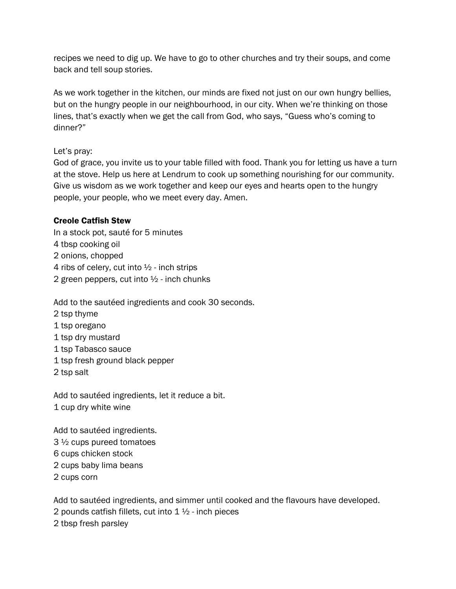recipes we need to dig up. We have to go to other churches and try their soups, and come back and tell soup stories.

As we work together in the kitchen, our minds are fixed not just on our own hungry bellies, but on the hungry people in our neighbourhood, in our city. When we're thinking on those lines, that's exactly when we get the call from God, who says, "Guess who's coming to dinner?"

## Let's pray:

God of grace, you invite us to your table filled with food. Thank you for letting us have a turn at the stove. Help us here at Lendrum to cook up something nourishing for our community. Give us wisdom as we work together and keep our eyes and hearts open to the hungry people, your people, who we meet every day. Amen.

## Creole Catfish Stew

In a stock pot, sauté for 5 minutes 4 tbsp cooking oil 2 onions, chopped 4 ribs of celery, cut into ½ - inch strips 2 green peppers, cut into  $\frac{1}{2}$  - inch chunks

Add to the sautéed ingredients and cook 30 seconds.

- 2 tsp thyme
- 1 tsp oregano
- 1 tsp dry mustard
- 1 tsp Tabasco sauce
- 1 tsp fresh ground black pepper
- 2 tsp salt

Add to sautéed ingredients, let it reduce a bit. 1 cup dry white wine

Add to sautéed ingredients. 3 ½ cups pureed tomatoes 6 cups chicken stock 2 cups baby lima beans 2 cups corn

Add to sautéed ingredients, and simmer until cooked and the flavours have developed. 2 pounds catfish fillets, cut into  $1\frac{1}{2}$  - inch pieces 2 tbsp fresh parsley